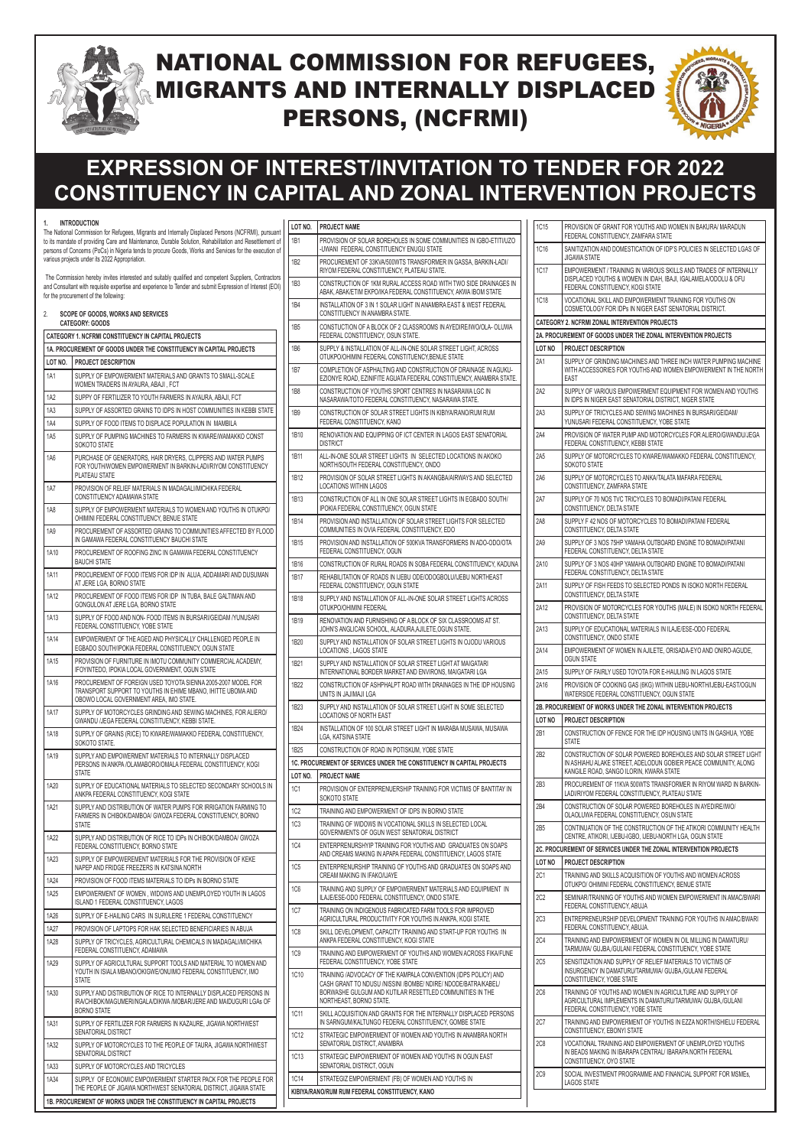### **1. INTRODUCTION**

The National Commission for Refugees, Migrants and Internally Displaced Persons (NCFRMI), pursuant to its mandate of providing Care and Maintenance, Durable Solution, Rehabilitation and Resettlement of persons of Concerns (PoCs) in Nigeria tends to procure Goods, Works and Services for the execution of various projects under its 2022 Appropriation.

 The Commission hereby invites interested and suitably qualified and competent Suppliers, Contractors and Consultant with requisite expertise and experience to Tender and submit Expression of Interest (EOI) for the procurement of the following:

| 2.      | <b>SCOPE OF GOODS, WORKS AND SERVICES</b><br><b>CATEGORY: GOODS</b>                                                                                                      |
|---------|--------------------------------------------------------------------------------------------------------------------------------------------------------------------------|
|         | CATEGORY 1. NCFRMI CONSTITUENCY IN CAPITAL PROJECTS                                                                                                                      |
|         | 1A. PROCUREMENT OF GOODS UNDER THE CONSTITUENCY IN CAPITAL PROJECTS                                                                                                      |
| LOT NO. | <b>PROJECT DESCRIPTION</b>                                                                                                                                               |
| 1A1     | SUPPLY OF EMPOWERMENT MATERIALS AND GRANTS TO SMALL-SCALE<br>WOMEN TRADERS IN AYAURA, ABAJI, FCT                                                                         |
| 1A2     | SUPPY OF FERTILIZER TO YOUTH FARMERS IN AYAURA, ABAJI, FCT                                                                                                               |
| 1A3     | SUPPLY OF ASSORTED GRAINS TO IDPS IN HOST COMMUNITIES IN KEBBI STATE                                                                                                     |
| 1A4     | SUPPLY OF FOOD ITEMS TO DISPLACE POPULATION IN MAMBILA                                                                                                                   |
| 1A5     | SUPPLY OF PUMPING MACHINES TO FARMERS IN KWARE/WAMAKKO CONST<br>SOKOTO STATE                                                                                             |
| 1A6     | PURCHASE OF GENERATORS, HAIR DRYERS, CLIPPERS AND WATER PUMPS<br>FOR YOUTH/WOMEN EMPOWERMENT IN BARKIN-LADI/RIYOM CONSTITUENCY<br><b>PLATEAU STATE</b>                   |
| 1A7     | PROVISION OF RELIEF MATERIALS IN MADAGALI/MICHIKA FEDERAL<br>CONSTITUENCY ADAMAWA STATE                                                                                  |
| 1A8     | SUPPLY OF EMPOWERMENT MATERIALS TO WOMEN AND YOUTHS IN OTUKPO/<br>OHIMINI FEDERAL CONSTITUENCY, BENUE STATE                                                              |
| 1A9     | PROCUREMENT OF ASSORTED GRAINS TO COMMUNITIES AFFECTED BY FLOOD<br>IN GAMAWA FEDERAL CONSTITUENCY BAUCHI STATE                                                           |
| 1A10    | PROCUREMENT OF ROOFING ZINC IN GAMAWA FEDERAL CONSTITUENCY<br><b>BAUCHI STATE</b>                                                                                        |
| 1A11    | PROCUREMENT OF FOOD ITEMS FOR IDP IN ALUA. ADDAMARI AND DUSUMAN<br>AT JERE LGA. BORNO STATE                                                                              |
| 1A12    | PROCUREMENT OF FOOD ITEMS FOR IDP IN TUBA, BALE GALTIMAN AND<br>GONGULON AT JERE LGA, BORNO STATE                                                                        |
| 1A13    | SUPPLY OF FOOD AND NON-FOOD ITEMS IN BURSARI/GEIDAM /YUNUSARI<br>FEDERAL CONSTITUENCY, YOBE STATE                                                                        |
| 1A14    | EMPOWERMENT OF THE AGED AND PHYSICALLY CHALLENGED PEOPLE IN<br>EGBADO SOUTH/IPOKIA FEDERAL CONSTITUENCY, OGUN STATE                                                      |
| 1A15    | PROVISION OF FURNITURE IN IMOTU COMMUNITY COMMERCIAL ACADEMY.<br>IFOYINTEDO, IPOKIA LOCAL GOVERNMENT, OGUN STATE                                                         |
| 1A16    | PROCUREMENT OF FOREIGN USED TOYOTA SIENNA 2005-2007 MODEL FOR<br>TRANSPORT SUPPORT TO YOUTHS IN EHIME MBANO, IHITTE UBOMA AND<br>OBOWO LOCAL GOVERNMENT AREA, IMO STATE. |
| 1A17    | SUPPLY OF MOTORCYCLES GRINDING AND SEWING MACHINES, FOR ALIERO/<br>GWANDU /JEGA FEDERAL CONSTITUENCY, KEBBI STATE.                                                       |
| 1A18    | SUPPLY OF GRAINS (RICE) TO KWARE/WAMAKKO FEDERAL CONSTITUENCY,<br>SOKOTO STATE.                                                                                          |
| 1A19    | SUPPLY AND EMPOWERMENT MATERIALS TO INTERNALLY DISPLACED<br>PERSONS IN ANKPA /OLAMABORO/OMALA FEDERAL CONSTITUENCY, KOGI<br><b>STATE</b>                                 |
| 1A20    | SUPPLY OF EDUCATIONAL MATERIALS TO SELECTED SECONDARY SCHOOLS IN<br>ANKPA FEDERAL CONSTITUENCY, KOGI STATE                                                               |
| 1A21    | SUPPLY AND DISTRIBUTION OF WATER PUMPS FOR IRRIGATION FARMING TO<br>FARMERS IN CHIBOK/DAMBOA/ GWOZA FEDERAL CONSTITUENCY, BORNO<br>STATE                                 |
| 1A22    | SUPPLY AND DISTRIBUTION OF RICE TO IDPS IN CHIBOK/DAMBOA/ GWOZA<br>FEDERAL CONSTITUENCY, BORNO STATE                                                                     |
| 1A23    | SUPPLY OF EMPOWEREMENT MATERIALS FOR THE PROVISION OF KEKE<br>NAPEP AND FRIDGE FREEZERS IN KATSINA NORTH                                                                 |

| LOT NO.         | <b>PROJECT NAME</b>                                                                                                                    |
|-----------------|----------------------------------------------------------------------------------------------------------------------------------------|
| 1B1             | PROVISION OF SOLAR BOREHOLES IN SOME COMMUNITIES IN IGBO-ETITI/UZO<br>-UWANI FEDERAL CONSTITUENCY ENUGU STATE                          |
| 1B <sub>2</sub> | PROCUREMENT OF 33KVA/500WTS TRANSFORMER IN GASSA, BARKIN-LADI/<br>RIYOM FEDERAL CONSTITUENCY, PLATEAU STATE.                           |
| 1B3             | CONSTRUCTION OF 1KM RURAL ACCESS ROAD WITH TWO SIDE DRAINAGES IN<br>ABAK, ABAK/ETIM EKPO/IKA FEDERAL CONSTITUENCY, AKWA IBOM STATE     |
| 1B4             | INSTALLATION OF 3 IN 1 SOLAR LIGHT IN ANAMBRA EAST & WEST FEDERAL<br>CONSTITUENCY IN ANAMBRA STATE.                                    |
| 1B <sub>5</sub> | CONSTUCTION OF A BLOCK OF 2 CLASSROOMS IN AYEDIRE/IWO/OLA- OLUWA<br>FEDERAL CONSTITUENCY, OSUN STATE.                                  |
| 1B6             | SUPPLY & INSTALLATION OF ALL-IN-ONE SOLAR STREET LIGHT, ACROSS<br>OTUKPO/OHIMINI FEDERAL CONSTITUENCY.BENUE STATE                      |
| 1B7             | COMPLETION OF ASPHALTING AND CONSTRUCTION OF DRAINAGE IN AGUKU-<br>EZIONYE ROAD, EZINIFITE AGUATA FEDERAL CONSTITUENCY, ANAMBRA STATE. |
| 1B8             | CONSTRUCTION OF YOUTHS SPORT CENTRES IN NASARAWA LGC IN<br>NASARAWA/TOTO FEDERAL CONSTITUENCY, NASARAWA STATE.                         |
| 1B9             | CONSTRUCTION OF SOLAR STREET LIGHTS IN KIBIYA/RANO/RUM RUM<br>FEDERAL CONSTITUENCY, KANO                                               |
| 1B10            | RENOVATION AND EQUIPPING OF ICT CENTER IN LAGOS EAST SENATORIAL<br><b>DISTRICT</b>                                                     |
| 1B11            | ALL-IN-ONE SOLAR STREET LIGHTS IN SELECTED LOCATIONS IN AKOKO<br>NORTH/SOUTH FEDERAL CONSTITUENCY, ONDO                                |
| 1B12            | PROVISION OF SOLAR STREET LIGHTS IN AKANGBA/AIRWAYS AND SELECTED<br><b>LOCATIONS WITHIN LAGOS</b>                                      |
| 1B13            | CONSTRUCTION OF ALL IN ONE SOLAR STREET LIGHTS IN EGBADO SOUTH/<br>IPOKIA FEDERAL CONSTITUENCY, OGUN STATE                             |
| 1B14            | PROVISION AND INSTALLATION OF SOLAR STREET LIGHTS FOR SELECTED<br>COMMUNITIES IN OVIA FEDERAL CONSTITUENCY, EDO                        |
| 1B15            | PROVISION AND INSTALLATION OF 500KVA TRANSFORMERS IN ADO-ODO/OTA<br>FEDERAL CONSTITUENCY, OGUN                                         |
| 1B16            | CONSTRUCTION OF RURAL ROADS IN SOBA FEDERAL CONSTITUENCY, KADUNA                                                                       |
| 1B17            | REHABILITATION OF ROADS IN IJEBU ODE/ODOGBOLU/IJEBU NORTHEAST<br>FEDERAL CONSTITUENCY, OGUN STATE                                      |
| 1B18            | SUPPLY AND INSTALLATION OF ALL-IN-ONE SOLAR STREET LIGHTS ACROSS<br>OTUKPO/OHIMINI FEDERAL                                             |
| 1B19            | RENOVATION AND FURNISHING OF A BLOCK OF SIX CLASSROOMS AT ST.<br>JOHN'S ANGLICAN SCHOOL, ALADURA, AJILETE, OGUN STATE.                 |
| 1B20            | SUPPLY AND INSTALLATION OF SOLAR STREET LIGHTS IN OJODU VARIOUS<br>LOCATIONS, LAGOS STATE                                              |
| 1B21            | SUPPLY AND INSTALLATION OF SOLAR STREET LIGHT AT MAIGATARI<br>INTERNATIONAL BORDER MARKET AND ENVIRONS. MAIGATARI LGA                  |
| 1B22            | CONSTRUCTION OF ASHPHALPT ROAD WITH DRAINAGES IN THE IDP HOUSING<br>UNITS IN JAJIMAJI LGA                                              |
| 1B23            | SUPPLY AND INSTALLATION OF SOLAR STREET LIGHT IN SOME SELECTED<br>LOCATIONS OF NORTH EAST                                              |
| 1B24            | INSTALLATION OF 100 SOLAR STREET LIGHT IN MARABA MUSAWA, MUSAWA<br>LGA, KATSINA STATE                                                  |
| 1B25            | CONSTRUCTION OF ROAD IN POTISKUM, YOBE STATE                                                                                           |
|                 | 1C. PROCUREMENT OF SERVICES UNDER THE CONSTITUENCY IN CAPITAL PROJECTS                                                                 |
| LOT NO.         | <b>PROJECT NAME</b>                                                                                                                    |
| 1C1             | PROVISION OF ENTERPRENUERSHIP TRAINING FOR VICTIMS OF BANTITAY IN<br>SOKOTO STATE                                                      |
| 1C <sub>2</sub> | TRAINING AND EMPOWERMENT OF IDPS IN BORNO STATE                                                                                        |
| 1C3             | TRAINING OF WIDOWS IN VOCATIONAL SKILLS IN SELECTED LOCAL<br>GOVERNMENTS OF OGUN WEST SENATORIAL DISTRICT                              |
| 1C4             | ENTERPRENURSHYIP TRAINING FOR YOUTHS AND GRADUATES ON SOAPS<br>AND CREAMS MAKING IN APAPA FEDERAL CONSTITUENCY, LAGOS STATE            |
| 1C5             | ENTERPRENURSHIP TRAINING OF YOUTHS AND GRADUATES ON SOAPS AND                                                                          |

|                                                                     | NAPEP AND FRIDGE FREEZERS IN KATSINA NORTH.                                                        |                                                | ENTERPRENURSHIP TRAINING OF TOUTHS AND GRADUATES ON SOAPS AND                                                                    |  |                 |                                                                                                                                                  |
|---------------------------------------------------------------------|----------------------------------------------------------------------------------------------------|------------------------------------------------|----------------------------------------------------------------------------------------------------------------------------------|--|-----------------|--------------------------------------------------------------------------------------------------------------------------------------------------|
| 1A24                                                                | PROVISION OF FOOD ITEMS MATERIALS TO IDPs IN BORNO STATE                                           |                                                | CREAM MAKING IN IFAKO/IJAYE                                                                                                      |  | <b>2C1</b>      | TRAINING AND SKILLS ACQUISITION OF YOUTHS AND WOMEN ACROSS<br>OTUKPO/ OHIMINI FEDERAL CONSTITUENCY, BENUE STATE                                  |
| 1A25                                                                | EMPOWERMENT OF WOMEN, WIDOWS AND UNEMPLOYED YOUTH IN LAGOS<br>ISLAND 1 FEDERAL CONSTITUENCY, LAGOS | 1C6                                            | TRAINING AND SUPPLY OF EMPOWERMENT MATERIALS AND EQUIPMENT IN<br>ILAJE/ESE-ODO FEDERAL CONSTITUENCY, ONDO STATE.                 |  | 2C2             | SEMINAR/TRAINING OF YOUTHS AND WOMEN EMPOWERMENT IN AMAC/BWARI<br>FEDERAL CONSTITUENCY, ABUJA                                                    |
| 1A26                                                                | SUPPLY OF E-HAILING CARS IN SURULERE 1 FEDERAL CONSTITUENCY                                        | <b>1C7</b>                                     | TRAINING ON INDIGENOUS FABRICATED FARM TOOLS FOR IMPROVED<br>AGRICULTURAL PRODUCTIVITY FOR YOUTHS IN ANKPA, KOGI STATE.          |  | 2 <sub>C3</sub> | ENTREPRENEURSHIP DEVELOPMENT TRAINING FOR YOUTHS IN AMAC/BWARI                                                                                   |
| 1A27                                                                | PROVISION OF LAPTOPS FOR HAK SELECTED BENEFICIARIES IN ABUJA                                       | 1C <sub>8</sub>                                | SKILL DEVELOPMENT, CAPACITY TRAINING AND START-UP FOR YOUTHS IN                                                                  |  |                 | FEDERAL CONSTITUENCY, ABUJA.                                                                                                                     |
| <b>1A28</b>                                                         | SUPPLY OF TRICYCLES, AGRICULTURAL CHEMICALS IN MADAGALI/MICHIKA                                    |                                                | ANKPA FEDERAL CONSTITUENCY, KOGI STATE                                                                                           |  | <b>2C4</b>      | TRAINING AND EMPOWERMENT OF WOMEN IN OIL MILLING IN DAMATURU/                                                                                    |
|                                                                     | FEDERAL CONSTITUENCY, ADAMAWA                                                                      | 1C <sub>9</sub>                                | TRAINING AND EMPOWERMENT OF YOUTHS AND WOMEN ACROSS FIKA/FUNE                                                                    |  |                 | TARMUWA/ GUJBA,/GULANI FEDERAL CONSTITUENCY, YOBE STATE                                                                                          |
| 1A29                                                                | SUPPLY OF AGRICULTURAL SUPPORT TOOLS AND MATERIAL TO WOMEN AND                                     |                                                | FEDERAL CONSTITUENCY. YOBE STATE                                                                                                 |  | 2C <sub>5</sub> | SENSITIZATION AND SUPPLY OF RELIEF MATERIALS TO VICTIMS OF                                                                                       |
|                                                                     | YOUTH IN ISIALA MBANO/OKIGWE/ONUIMO FEDERAL CONSTITUENCY, IMO<br><b>STATE</b>                      |                                                | TRAINING /ADVOCACY OF THE KAMPALA CONVENTION (IDPS POLICY) AND<br>CASH GRANT TO NDUSU /NISSINI /BOMBE/ NDIRE/ NDODE/BATRA/KABEL/ |  |                 | INSURGENCY IN DAMATURU/TARMUWA/ GUJBA,/GULANI FEDERAL<br>CONSTITUENCY, YOBE STATE                                                                |
| 1A30                                                                | SUPPLY AND DISTRIBUTION OF RICE TO INTERNALLY DISPLACED PERSONS IN                                 |                                                | BORWASHE GULGUM AND KUTILAR RESETTLED COMMUNITIES IN THE                                                                         |  | <b>2C6</b>      | TRAINING OF YOUTHS AND WOMEN IN AGRICULTURE AND SUPPLY OF                                                                                        |
|                                                                     | I IRA/CHIBOK/MAGUMERI/NGALA/DIKWA /MOBAR/JERE AND MAIDUGURI LGAs OF<br><b>BORNO STATE</b>          |                                                | NORTHEAST, BORNO STATE.<br>SKILL ACQUISITION AND GRANTS FOR THE INTERNALLY DISPLACED PERSONS                                     |  |                 | AGRICULTURAL IMPLEMENTS IN DAMATURU/TARMUWA/ GUJBA./GULANI<br>FEDERAL CONSTITUENCY, YOBE STATE                                                   |
| 1A31                                                                | SUPPLY OF FERTILIZER FOR FARMERS IN KAZAURE, JIGAWA NORTHWEST                                      | 1C11                                           | IN SARNGUM/KALTUNGO FEDERAL CONSTITUENCY, GOMBE STATE                                                                            |  | <b>2C7</b>      | TRAINING AND EMPOWERMENT OF YOUTHS IN EZZA NORTH/ISHIELU FEDERAL                                                                                 |
|                                                                     | I SENATORIAL DISTRICT                                                                              |                                                | STRATEGIC EMPOWERMENT OF WOMEN AND YOUTHS IN ANAMBRA NORTH                                                                       |  |                 | CONSTITUENCY, EBONYI STATE                                                                                                                       |
| 1A32                                                                | SUPPLY OF MOTORCYCLES TO THE PEOPLE OF TAURA, JIGAWA NORTHWEST                                     | <b>1C12</b>                                    | SENATORIAL DISTRICT. ANAMBRA                                                                                                     |  | <b>2C8</b>      | VOCATIONAL TRAINING AND EMPOWERMENT OF UNEMPLOYED YOUTHS<br>IN BEADS MAKING IN IBARAPA CENTRAL/ IBARAPA NORTH FEDERAL<br>CONSTITUENCY, OYO STATE |
|                                                                     | <b>SENATORIAL DISTRICT</b>                                                                         | <b>1C13</b>                                    | STRATEGIC EMPOWERMENT OF WOMEN AND YOUTHS IN OGUN EAST<br>SENATORIAL DISTRICT, OGUN                                              |  |                 |                                                                                                                                                  |
| 1A33                                                                | SUPPLY OF MOTORCYCLES AND TRICYCLES                                                                |                                                |                                                                                                                                  |  |                 |                                                                                                                                                  |
| 1A34                                                                | I SUPPLY OF ECONOMIC EMPOWERMENT STARTER PACK FOR THE PEOPLE FOR                                   | <b>1C14</b>                                    | STRATEGIZ EMPOWERMENT (FB) OF WOMEN AND YOUTHS IN                                                                                |  | <b>2C9</b>      | SOCIAL INVESTMENT PROGRAMME AND FINANCIAL SUPPORT FOR MSMES,<br>LAGOS STATE                                                                      |
| THE PEOPLE OF JIGAWA NORTHWEST SENATORIAL DISTRICT, JIGAWA STATE    |                                                                                                    | KIBIYA/RANO/RUM RUM FEDERAL CONSTITUENCY, KANO |                                                                                                                                  |  |                 |                                                                                                                                                  |
| 1B. PROCUREMENT OF WORKS UNDER THE CONSTITUENCY IN CAPITAL PROJECTS |                                                                                                    |                                                |                                                                                                                                  |  |                 |                                                                                                                                                  |

| 2A16            | PROVISION OF COOKING GAS (6KG) WITHIN IJEBU-NORTH/IJEBU-EAST/OGUN<br>WATERSIDE FEDERAL CONSTITUENCY, OGUN STATE                                                         |
|-----------------|-------------------------------------------------------------------------------------------------------------------------------------------------------------------------|
| 2A15            | SUPPLY OF FAIRLY USED TOYOTA FOR E-HAULING IN LAGOS STATE                                                                                                               |
| 2A14            | CONSTITUENCY, ONDO STATE<br>EMPOWERMENT OF WOMEN IN AJILETE, ORISADA-EYO AND ONIRO-AGUDE,<br><b>OGUN STATE</b>                                                          |
| 2A13            | CONSTITUENCY, DELTA STATE<br>SUPPLY OF EDUCATIONAL MATERIALS IN ILAJE/ESE-ODO FEDERAL                                                                                   |
| 2A12            | CONSTITUENCY, DELTA STATE<br>PROVISION OF MOTORCYCLES FOR YOUTHS (MALE) IN ISOKO NORTH FEDERAL                                                                          |
| 2A11            | FEDERAL CONSTITUENCY, DELTA STATE<br>SUPPLY OF FISH FEEDS TO SELECTED PONDS IN ISOKO NORTH FEDERAL                                                                      |
| 2A10            | FEDERAL CONSTITUENCY, DELTA STATE<br>SUPPLY OF 3 NOS 40HP YAMAHA OUTBOARD ENGINE TO BOMADI/PATANI                                                                       |
| 2A9             | CONSTITUENCY, DELTA STATE<br>SUPPLY OF 3 NOS 75HP YAMAHA OUTBOARD ENGINE TO BOMADI/PATANI                                                                               |
| 2A8             | CONSTITUENCY, DELTA STATE<br>SUPPLY F 42 NOS OF MOTORCYCLES TO BOMADI/PATANI FEDERAL                                                                                    |
| 2A7             | CONSTITUENCY, ZAMFARA STATE<br>SUPPLY OF 70 NOS TVC TRICYCLES TO BOMADI/PATANI FEDERAL                                                                                  |
| 2A6             | SOKOTO STATE<br>SUPPLY OF MOTORCYCLES TO ANKA/TALATA MAFARA FEDERAL                                                                                                     |
| 2A <sub>5</sub> | FEDERAL CONSTITUENCY, KEBBI STATE<br>SUPPLY OF MOTORCYCLES TO KWARE/WAMAKKO FEDERAL CONSTITUENCY.                                                                       |
| 2A4             | YUNUSARI FEDERAL CONSTITUENCY, YOBE STATE<br>PROVISION OF WATER PUMP AND MOTORCYCLES FOR ALIERO/GWANDU/JEGA                                                             |
| 2A3             | IN IDPS IN NIGER EAST SENATORIAL DISTRICT, NIGER STATE<br>SUPPLY OF TRICYCLES AND SEWING MACHINES IN BURSARI/GEIDAM/                                                    |
| 2A2             | WITH ACCESSORIES FOR YOUTHS AND WOMEN EMPOWERMENT IN THE NORTH<br>EAST<br>SUPPLY OF VARIOUS EMPOWERMENT EQUIPMENT FOR WOMEN AND YOUTHS                                  |
| LOT NO<br>2A1   | <b>PROJECT DESCRIPTION</b><br>SUPPLY OF GRINDING MACHINES AND THREE INCH WATER PUMPING MACHINE                                                                          |
|                 | 2A. PROCUREMENT OF GOODS UNDER THE ZONAL INTERVENTION PROJECTS                                                                                                          |
|                 | <b>CATEGORY 2. NCFRMI ZONAL INTERVENTION PROJECTS</b>                                                                                                                   |
| <b>1C18</b>     | VOCATIONAL SKILL AND EMPOWERMENT TRAINING FOR YOUTHS ON<br>COSMETOLOGY FOR IDPS IN NIGER EAST SENATORIAL DISTRICT.                                                      |
| 1C17            | EMPOWERMENT / TRAINING IN VARIOUS SKILLS AND TRADES OF INTERNALLY<br>DISPLACED YOUTHS & WOMEN IN IDAH, IBAJI, IGALAMELA/ODOLU & OFU<br>FEDERAL CONSTITUENCY, KOGI STATE |
| <b>1C16</b>     | SANITIZATION AND DOMESTICATION OF IDP'S POLICIES IN SELECTED LGAS OF<br><b>JIGAWA STATE</b>                                                                             |
|                 | PROVISION OF GRANT FOR YOUTHS AND WOMEN IN BAKURA/ MARADUN<br>FEDERAL CONSTITUENCY, ZAMFARA STATE                                                                       |



# NATIONAL COMMISSION FOR REFUGEES, MIGRANTS AND INTERNALLY DISPLACED PERSONS, (NCFRMI)



# **EXPRESSION OF INTEREST/INVITATION TO TENDER FOR 2022 CONSTITUENCY IN CAPITAL AND ZONAL INTERVENTION PROJECTS**